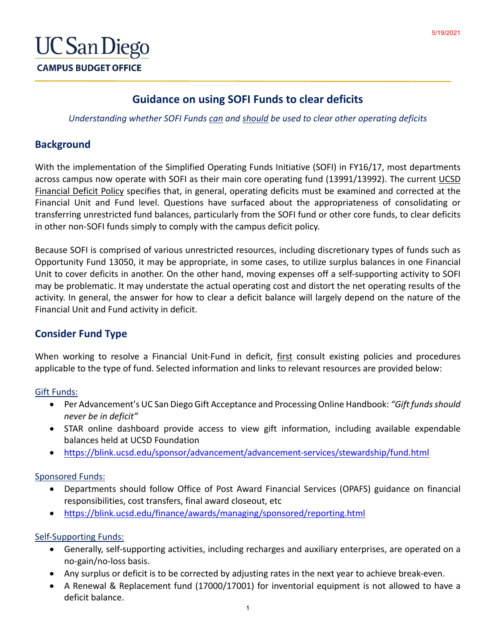

# **Guidance on using SOFI Funds to clear deficits**

*Understanding whether SOFI Funds can and should be used to clear other operating deficits*

### **Background**

With the implementation of the Simplified Operating Funds Initiative (SOFI) in FY16/17, most departments across campus now operate with SOFI as their main core operating fund (13991/13992). The current [UCSD](http://adminrecords.ucsd.edu/PPM/docs/300-2.html)  [Financial Deficit Policy](http://adminrecords.ucsd.edu/PPM/docs/300-2.html) specifies that, in general, operating deficits must be examined and corrected at the Financial Unit and Fund level. Questions have surfaced about the appropriateness of consolidating or transferring unrestricted fund balances, particularly from the SOFI fund or other core funds, to clear deficits in other non-SOFI funds simply to comply with the campus deficit policy.

Because SOFI is comprised of various unrestricted resources, including discretionary types of funds such as Opportunity Fund 13050, it may be appropriate, in some cases, to utilize surplus balances in one Financial Unit to cover deficits in another. On the other hand, moving expenses off a self-supporting activity to SOFI may be problematic. It may understate the actual operating cost and distort the net operating results of the activity. In general, the answer for how to clear a deficit balance will largely depend on the nature of the Financial Unit and Fund activity in deficit.

# **Consider Fund Type**

When working to resolve a Financial Unit-Fund in deficit, first consult existing policies and procedures applicable to the type of fund. Selected information and links to relevant resources are provided below:

#### Gift Funds:

- Per Advancement's UC San Diego Gift Acceptance and Processing Online Handbook: *"Gift funds should never be in deficit"*
- STAR online dashboard provide access to view gift information, including available expendable balances held at UCSD Foundation
- <https://blink.ucsd.edu/sponsor/advancement/advancement-services/stewardship/fund.html>

### Sponsored Funds:

- Departments should follow Office of Post Award Financial Services (OPAFS) guidance on financial responsibilities, cost transfers, final award closeout, etc
- <https://blink.ucsd.edu/finance/awards/managing/sponsored/reporting.html>

#### Self-Supporting Funds:

- Generally, self-supporting activities, including recharges and auxiliary enterprises, are operated on a no-gain/no-loss basis.
- Any surplus or deficit is to be corrected by adjusting rates in the next year to achieve break-even.
- A Renewal & Replacement fund (17000/17001) for inventorial equipment is not allowed to have a deficit balance.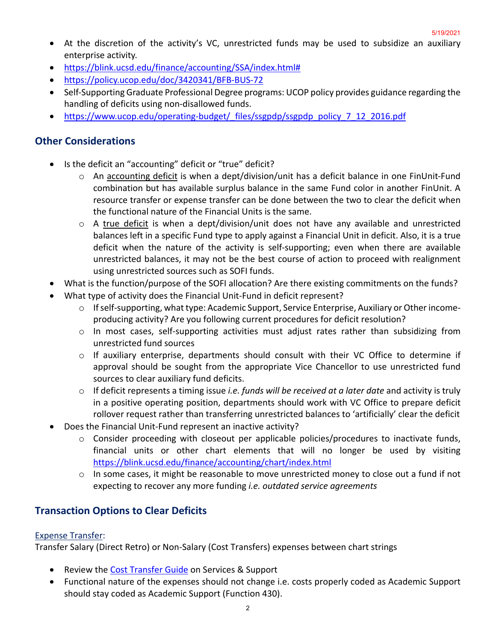- At the discretion of the activity's VC, unrestricted funds may be used to subsidize an auxiliary enterprise activity.
- [https://blink.ucsd.edu/finance/accounting/SSA/index.html#](https://blink.ucsd.edu/finance/accounting/SSA/index.html)
- <https://policy.ucop.edu/doc/3420341/BFB-BUS-72>
- Self-Supporting Graduate Professional Degree programs: UCOP policy provides guidance regarding the handling of deficits using non-disallowed funds.
- https://www.ucop.edu/operating-budget/ files/ssgpdp/ssgpdp\_policy\_7\_12\_2016.pdf

### **Other Considerations**

- Is the deficit an "accounting" deficit or "true" deficit?
	- $\circ$  An accounting deficit is when a dept/division/unit has a deficit balance in one FinUnit-Fund combination but has available surplus balance in the same Fund color in another FinUnit. A resource transfer or expense transfer can be done between the two to clear the deficit when the functional nature of the Financial Units is the same.
	- $\circ$  A true deficit is when a dept/division/unit does not have any available and unrestricted balances left in a specific Fund type to apply against a Financial Unit in deficit. Also, it is a true deficit when the nature of the activity is self-supporting; even when there are available unrestricted balances, it may not be the best course of action to proceed with realignment using unrestricted sources such as SOFI funds.
- What is the function/purpose of the SOFI allocation? Are there existing commitments on the funds?
- What type of activity does the Financial Unit-Fund in deficit represent?
	- $\circ$  If self-supporting, what type: Academic Support, Service Enterprise, Auxiliary or Other incomeproducing activity? Are you following current procedures for deficit resolution?
	- o In most cases, self-supporting activities must adjust rates rather than subsidizing from unrestricted fund sources
	- o If auxiliary enterprise, departments should consult with their VC Office to determine if approval should be sought from the appropriate Vice Chancellor to use unrestricted fund sources to clear auxiliary fund deficits.
	- o If deficit represents a timing issue *i.e. funds will be received at a later date* and activity is truly in a positive operating position, departments should work with VC Office to prepare deficit rollover request rather than transferring unrestricted balances to 'artificially' clear the deficit
- Does the Financial Unit-Fund represent an inactive activity?
	- $\circ$  Consider proceeding with closeout per applicable policies/procedures to inactivate funds, financial units or other chart elements that will no longer be used by visiting <https://blink.ucsd.edu/finance/accounting/chart/index.html>
	- $\circ$  In some cases, it might be reasonable to move unrestricted money to close out a fund if not expecting to recover any more funding *i.e. outdated service agreements*

# **Transaction Options to Clear Deficits**

#### Expense Transfer:

Transfer Salary (Direct Retro) or Non-Salary (Cost Transfers) expenses between chart strings

- Review the [Cost Transfer Guide](https://support.ucsd.edu/services?id=kb_article_view&sys_kb_id=53b92c101b487410df40ed7dee4bcbe1) on Services & Support
- Functional nature of the expenses should not change i.e. costs properly coded as Academic Support should stay coded as Academic Support (Function 430).